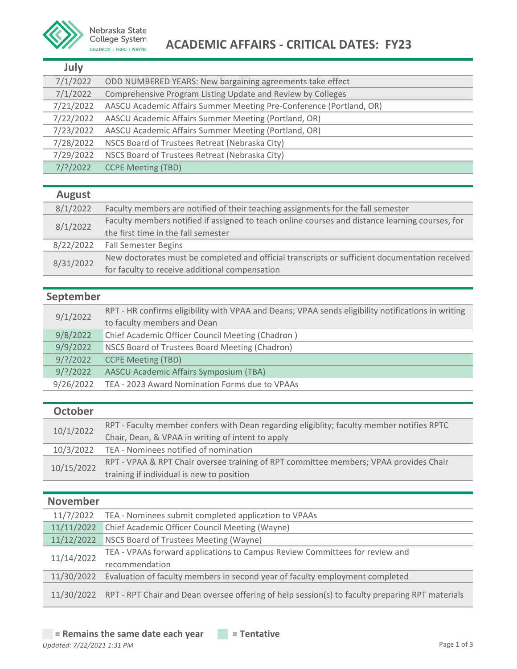

# College System **ACADEMIC AFFAIRS - CRITICAL DATES: FY23**

| ۰.<br>$\sim$<br>× |  |
|-------------------|--|
|-------------------|--|

| .           |                                                                     |
|-------------|---------------------------------------------------------------------|
| 7/1/2022    | ODD NUMBERED YEARS: New bargaining agreements take effect           |
| 7/1/2022    | Comprehensive Program Listing Update and Review by Colleges         |
| 7/21/2022   | AASCU Academic Affairs Summer Meeting Pre-Conference (Portland, OR) |
| 7/22/2022   | AASCU Academic Affairs Summer Meeting (Portland, OR)                |
| 7/23/2022   | AASCU Academic Affairs Summer Meeting (Portland, OR)                |
| 7/28/2022   | NSCS Board of Trustees Retreat (Nebraska City)                      |
| 7/29/2022   | NSCS Board of Trustees Retreat (Nebraska City)                      |
| $7/$ ?/2022 | <b>CCPE Meeting (TBD)</b>                                           |

#### **August**

| 8/1/2022  | Faculty members are notified of their teaching assignments for the fall semester                |
|-----------|-------------------------------------------------------------------------------------------------|
| 8/1/2022  | Faculty members notified if assigned to teach online courses and distance learning courses, for |
|           | the first time in the fall semester                                                             |
| 8/22/2022 | <b>Fall Semester Begins</b>                                                                     |
| 8/31/2022 | New doctorates must be completed and official transcripts or sufficient documentation received  |
|           | for faculty to receive additional compensation                                                  |

## **September**

|  | 9/1/2022    | RPT - HR confirms eligibility with VPAA and Deans; VPAA sends eligibility notifications in writing |
|--|-------------|----------------------------------------------------------------------------------------------------|
|  |             | to faculty members and Dean                                                                        |
|  | 9/8/2022    | Chief Academic Officer Council Meeting (Chadron)                                                   |
|  | 9/9/2022    | NSCS Board of Trustees Board Meeting (Chadron)                                                     |
|  | $9$ /?/2022 | <b>CCPE Meeting (TBD)</b>                                                                          |
|  | $9$ /?/2022 | AASCU Academic Affairs Symposium (TBA)                                                             |
|  | 9/26/2022   | TEA - 2023 Award Nomination Forms due to VPAAs                                                     |
|  |             |                                                                                                    |

#### **October**

| 10/1/2022  | RPT - Faculty member confers with Dean regarding eligiblity; faculty member notifies RPTC |
|------------|-------------------------------------------------------------------------------------------|
|            | Chair, Dean, & VPAA in writing of intent to apply                                         |
|            | 10/3/2022 TEA - Nominees notified of nomination                                           |
| 10/15/2022 | RPT - VPAA & RPT Chair oversee training of RPT committee members; VPAA provides Chair     |
|            | training if individual is new to position                                                 |
|            |                                                                                           |

#### **November**

| 11/7/2022  | TEA - Nominees submit completed application to VPAAs                                                       |
|------------|------------------------------------------------------------------------------------------------------------|
| 11/11/2022 | Chief Academic Officer Council Meeting (Wayne)                                                             |
| 11/12/2022 | NSCS Board of Trustees Meeting (Wayne)                                                                     |
| 11/14/2022 | TEA - VPAAs forward applications to Campus Review Committees for review and                                |
|            | recommendation                                                                                             |
| 11/30/2022 | Evaluation of faculty members in second year of faculty employment completed                               |
|            | 11/30/2022 RPT - RPT Chair and Dean oversee offering of help session(s) to faculty preparing RPT materials |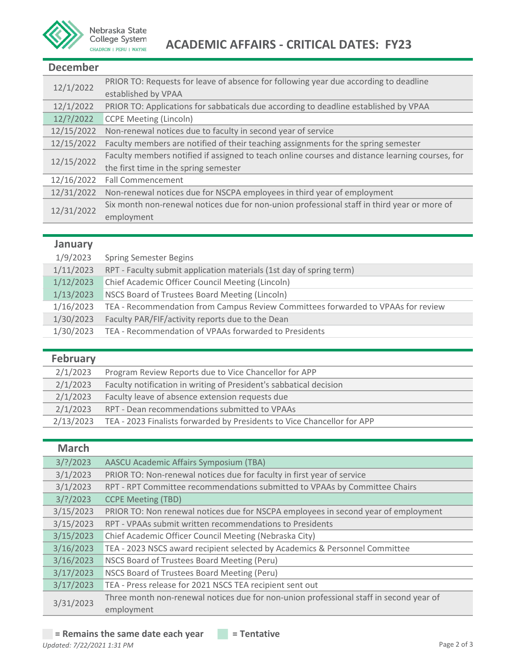

#### **December**

| 12/1/2022  | PRIOR TO: Requests for leave of absence for following year due according to deadline            |
|------------|-------------------------------------------------------------------------------------------------|
|            | established by VPAA                                                                             |
| 12/1/2022  | PRIOR TO: Applications for sabbaticals due according to deadline established by VPAA            |
| 12/?/2022  | <b>CCPE Meeting (Lincoln)</b>                                                                   |
| 12/15/2022 | Non-renewal notices due to faculty in second year of service                                    |
| 12/15/2022 | Faculty members are notified of their teaching assignments for the spring semester              |
| 12/15/2022 | Faculty members notified if assigned to teach online courses and distance learning courses, for |
|            | the first time in the spring semester                                                           |
| 12/16/2022 | <b>Fall Commencement</b>                                                                        |
| 12/31/2022 | Non-renewal notices due for NSCPA employees in third year of employment                         |
| 12/31/2022 | Six month non-renewal notices due for non-union professional staff in third year or more of     |
|            | employment                                                                                      |

### **January**

| 1/9/2023  | <b>Spring Semester Begins</b>                                                    |
|-----------|----------------------------------------------------------------------------------|
| 1/11/2023 | RPT - Faculty submit application materials (1st day of spring term)              |
| 1/12/2023 | Chief Academic Officer Council Meeting (Lincoln)                                 |
| 1/13/2023 | NSCS Board of Trustees Board Meeting (Lincoln)                                   |
| 1/16/2023 | TEA - Recommendation from Campus Review Committees forwarded to VPAAs for review |
| 1/30/2023 | Faculty PAR/FIF/activity reports due to the Dean                                 |
| 1/30/2023 | TEA - Recommendation of VPAAs forwarded to Presidents                            |

| <b>February</b> |                                                                         |
|-----------------|-------------------------------------------------------------------------|
| 2/1/2023        | Program Review Reports due to Vice Chancellor for APP                   |
| 2/1/2023        | Faculty notification in writing of President's sabbatical decision      |
| 2/1/2023        | Faculty leave of absence extension requests due                         |
| 2/1/2023        | RPT - Dean recommendations submitted to VPAAs                           |
| 2/13/2023       | TEA - 2023 Finalists forwarded by Presidents to Vice Chancellor for APP |

| <b>March</b> |                                                                                        |
|--------------|----------------------------------------------------------------------------------------|
| $3$ /?/2023  | AASCU Academic Affairs Symposium (TBA)                                                 |
| 3/1/2023     | PRIOR TO: Non-renewal notices due for faculty in first year of service                 |
| 3/1/2023     | RPT - RPT Committee recommendations submitted to VPAAs by Committee Chairs             |
| $3/$ ?/2023  | <b>CCPE Meeting (TBD)</b>                                                              |
| 3/15/2023    | PRIOR TO: Non renewal notices due for NSCPA employees in second year of employment     |
| 3/15/2023    | RPT - VPAAs submit written recommendations to Presidents                               |
| 3/15/2023    | Chief Academic Officer Council Meeting (Nebraska City)                                 |
| 3/16/2023    | TEA - 2023 NSCS award recipient selected by Academics & Personnel Committee            |
| 3/16/2023    | NSCS Board of Trustees Board Meeting (Peru)                                            |
| 3/17/2023    | NSCS Board of Trustees Board Meeting (Peru)                                            |
| 3/17/2023    | TEA - Press release for 2021 NSCS TEA recipient sent out                               |
| 3/31/2023    | Three month non-renewal notices due for non-union professional staff in second year of |
|              | employment                                                                             |

### $=$  **Remains the same date each year**  $=$  **Tentative**